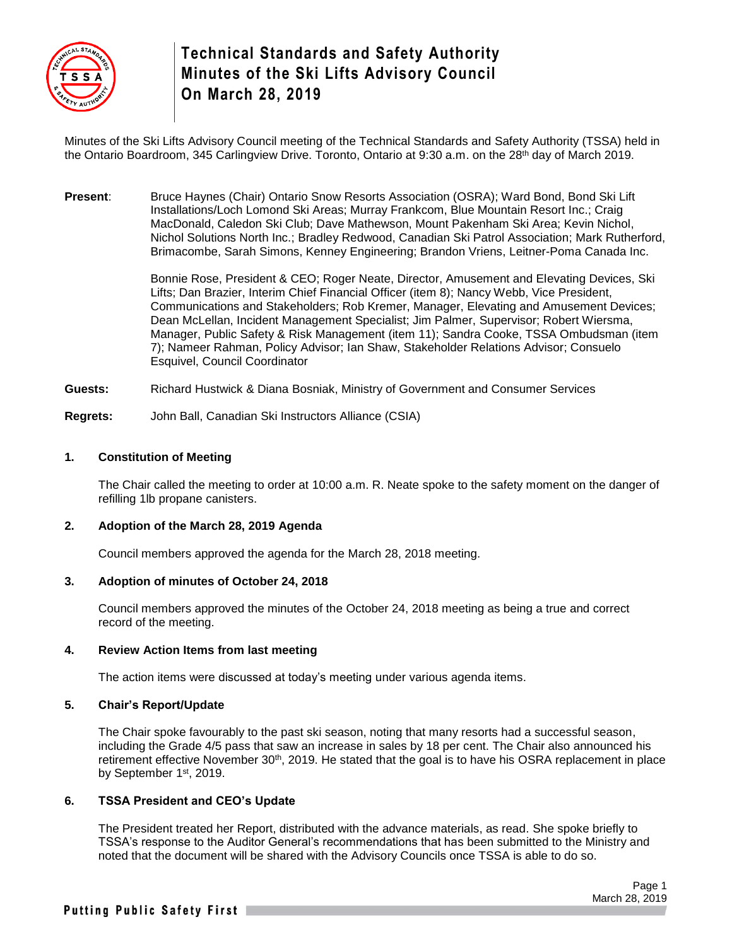

# **Technical Standards and Safety Authority Minutes of the Ski Lifts Advisory Council On March 28, 2019**

Minutes of the Ski Lifts Advisory Council meeting of the Technical Standards and Safety Authority (TSSA) held in the Ontario Boardroom, 345 Carlingview Drive. Toronto, Ontario at 9:30 a.m. on the 28<sup>th</sup> day of March 2019.

**Present**: Bruce Haynes (Chair) Ontario Snow Resorts Association (OSRA); Ward Bond, Bond Ski Lift Installations/Loch Lomond Ski Areas; Murray Frankcom, Blue Mountain Resort Inc.; Craig MacDonald, Caledon Ski Club; Dave Mathewson, Mount Pakenham Ski Area; Kevin Nichol, Nichol Solutions North Inc.; Bradley Redwood, Canadian Ski Patrol Association; Mark Rutherford, Brimacombe, Sarah Simons, Kenney Engineering; Brandon Vriens, Leitner-Poma Canada Inc.

> Bonnie Rose, President & CEO; Roger Neate, Director, Amusement and Elevating Devices, Ski Lifts; Dan Brazier, Interim Chief Financial Officer (item 8); Nancy Webb, Vice President, Communications and Stakeholders; Rob Kremer, Manager, Elevating and Amusement Devices; Dean McLellan, Incident Management Specialist; Jim Palmer, Supervisor; Robert Wiersma, Manager, Public Safety & Risk Management (item 11); Sandra Cooke, TSSA Ombudsman (item 7); Nameer Rahman, Policy Advisor; Ian Shaw, Stakeholder Relations Advisor; Consuelo Esquivel, Council Coordinator

**Guests:** Richard Hustwick & Diana Bosniak, Ministry of Government and Consumer Services

**Regrets:** John Ball, Canadian Ski Instructors Alliance (CSIA)

#### **1. Constitution of Meeting**

The Chair called the meeting to order at 10:00 a.m. R. Neate spoke to the safety moment on the danger of refilling 1lb propane canisters.

#### **2. Adoption of the March 28, 2019 Agenda**

Council members approved the agenda for the March 28, 2018 meeting.

#### **3. Adoption of minutes of October 24, 2018**

Council members approved the minutes of the October 24, 2018 meeting as being a true and correct record of the meeting.

#### **4. Review Action Items from last meeting**

The action items were discussed at today's meeting under various agenda items.

#### **5. Chair's Report/Update**

The Chair spoke favourably to the past ski season, noting that many resorts had a successful season, including the Grade 4/5 pass that saw an increase in sales by 18 per cent. The Chair also announced his retirement effective November 30<sup>th</sup>, 2019. He stated that the goal is to have his OSRA replacement in place by September 1<sup>st</sup>, 2019.

#### **6. TSSA President and CEO's Update**

The President treated her Report, distributed with the advance materials, as read. She spoke briefly to TSSA's response to the Auditor General's recommendations that has been submitted to the Ministry and noted that the document will be shared with the Advisory Councils once TSSA is able to do so.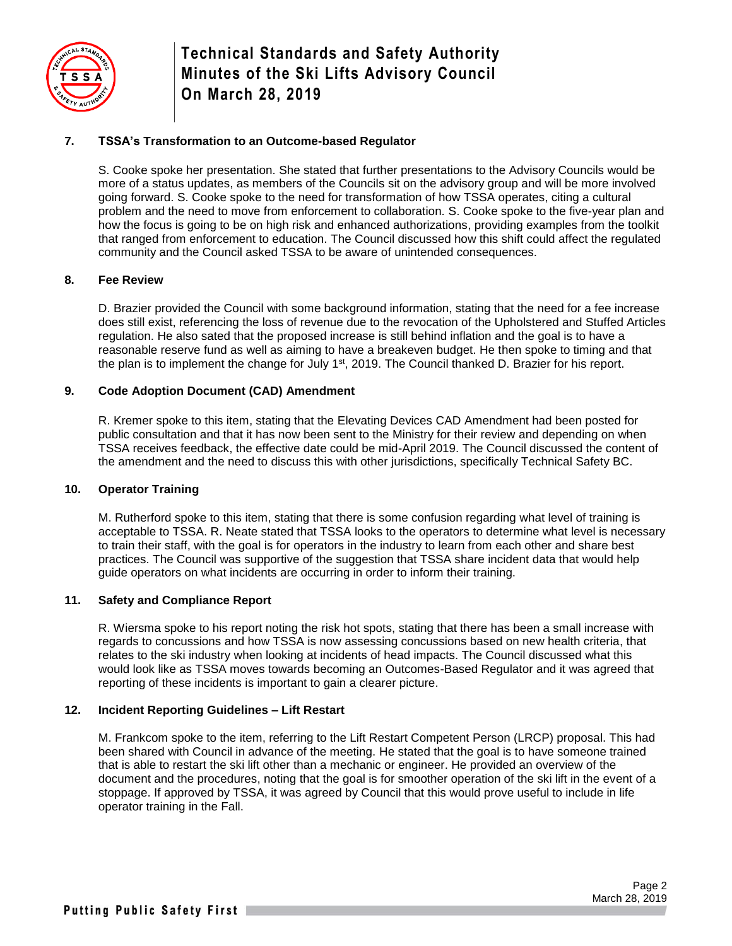

**Technical Standards and Safety Authority Minutes of the Ski Lifts Advisory Council On March 28, 2019**

# **7. TSSA's Transformation to an Outcome-based Regulator**

S. Cooke spoke her presentation. She stated that further presentations to the Advisory Councils would be more of a status updates, as members of the Councils sit on the advisory group and will be more involved going forward. S. Cooke spoke to the need for transformation of how TSSA operates, citing a cultural problem and the need to move from enforcement to collaboration. S. Cooke spoke to the five-year plan and how the focus is going to be on high risk and enhanced authorizations, providing examples from the toolkit that ranged from enforcement to education. The Council discussed how this shift could affect the regulated community and the Council asked TSSA to be aware of unintended consequences.

# **8. Fee Review**

D. Brazier provided the Council with some background information, stating that the need for a fee increase does still exist, referencing the loss of revenue due to the revocation of the Upholstered and Stuffed Articles regulation. He also sated that the proposed increase is still behind inflation and the goal is to have a reasonable reserve fund as well as aiming to have a breakeven budget. He then spoke to timing and that the plan is to implement the change for July  $1<sup>st</sup>$ , 2019. The Council thanked D. Brazier for his report.

# **9. Code Adoption Document (CAD) Amendment**

R. Kremer spoke to this item, stating that the Elevating Devices CAD Amendment had been posted for public consultation and that it has now been sent to the Ministry for their review and depending on when TSSA receives feedback, the effective date could be mid-April 2019. The Council discussed the content of the amendment and the need to discuss this with other jurisdictions, specifically Technical Safety BC.

#### **10. Operator Training**

M. Rutherford spoke to this item, stating that there is some confusion regarding what level of training is acceptable to TSSA. R. Neate stated that TSSA looks to the operators to determine what level is necessary to train their staff, with the goal is for operators in the industry to learn from each other and share best practices. The Council was supportive of the suggestion that TSSA share incident data that would help guide operators on what incidents are occurring in order to inform their training.

#### **11. Safety and Compliance Report**

R. Wiersma spoke to his report noting the risk hot spots, stating that there has been a small increase with regards to concussions and how TSSA is now assessing concussions based on new health criteria, that relates to the ski industry when looking at incidents of head impacts. The Council discussed what this would look like as TSSA moves towards becoming an Outcomes-Based Regulator and it was agreed that reporting of these incidents is important to gain a clearer picture.

#### **12. Incident Reporting Guidelines – Lift Restart**

M. Frankcom spoke to the item, referring to the Lift Restart Competent Person (LRCP) proposal. This had been shared with Council in advance of the meeting. He stated that the goal is to have someone trained that is able to restart the ski lift other than a mechanic or engineer. He provided an overview of the document and the procedures, noting that the goal is for smoother operation of the ski lift in the event of a stoppage. If approved by TSSA, it was agreed by Council that this would prove useful to include in life operator training in the Fall.